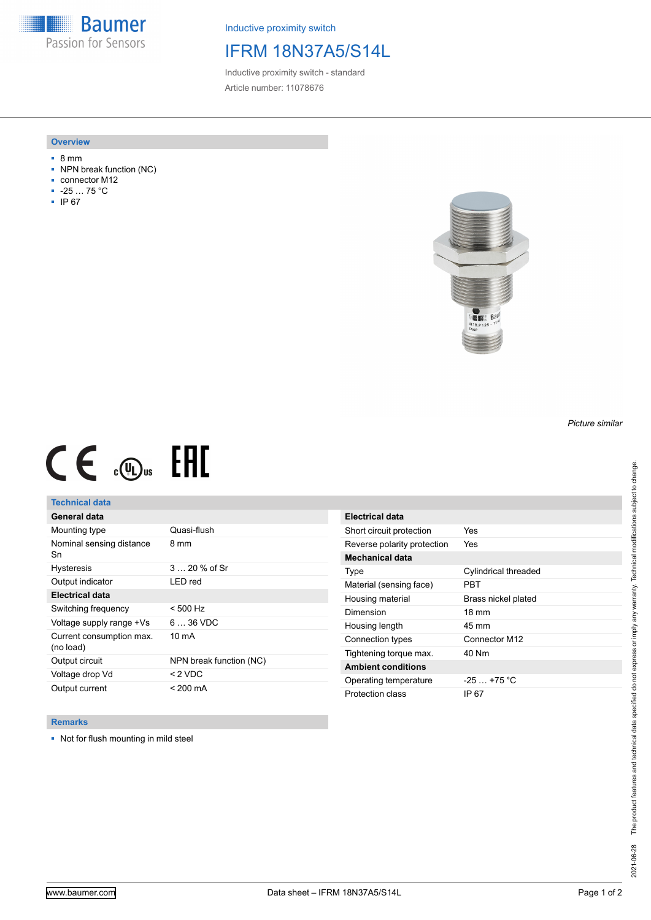**Baumer** Passion for Sensors

Inductive proximity switch

## IFRM 18N37A5/S14L

Inductive proximity switch - standard Article number: 11078676

#### **Overview**

- 8 mm
- NPN break function (NC)
- connector M12
- -25 … 75 °C
- IP 67



# $CE \mathcal{L}$  (Dus FRE

## **Technical data**

| General data                          |                         |
|---------------------------------------|-------------------------|
| Mounting type                         | Quasi-flush             |
| Nominal sensing distance<br>Sn        | 8 mm                    |
| <b>Hysteresis</b>                     | $320%$ of Sr            |
| Output indicator                      | LED red                 |
| <b>Electrical data</b>                |                         |
| Switching frequency                   | $< 500$ Hz              |
| Voltage supply range +Vs              | $636$ VDC               |
| Current consumption max.<br>(no load) | $10 \text{ mA}$         |
| Output circuit                        | NPN break function (NC) |
| Voltage drop Vd                       | < 2 VDC                 |
| Output current                        | < 200 mA                |

| Electrical data             |                      |
|-----------------------------|----------------------|
| Short circuit protection    | Yes                  |
| Reverse polarity protection | Yes                  |
| <b>Mechanical data</b>      |                      |
| Type                        | Cylindrical threaded |
| Material (sensing face)     | PRT                  |
| Housing material            | Brass nickel plated  |
| Dimension                   | $18 \text{ mm}$      |
| Housing length              | 45 mm                |
| Connection types            | Connector M12        |
| Tightening torque max.      | 40 Nm                |
| <b>Ambient conditions</b>   |                      |
| Operating temperature       | $-25+75 °C$          |
| Protection class            | IP 67                |

### **Remarks**

■ Not for flush mounting in mild steel

*Picture similar*